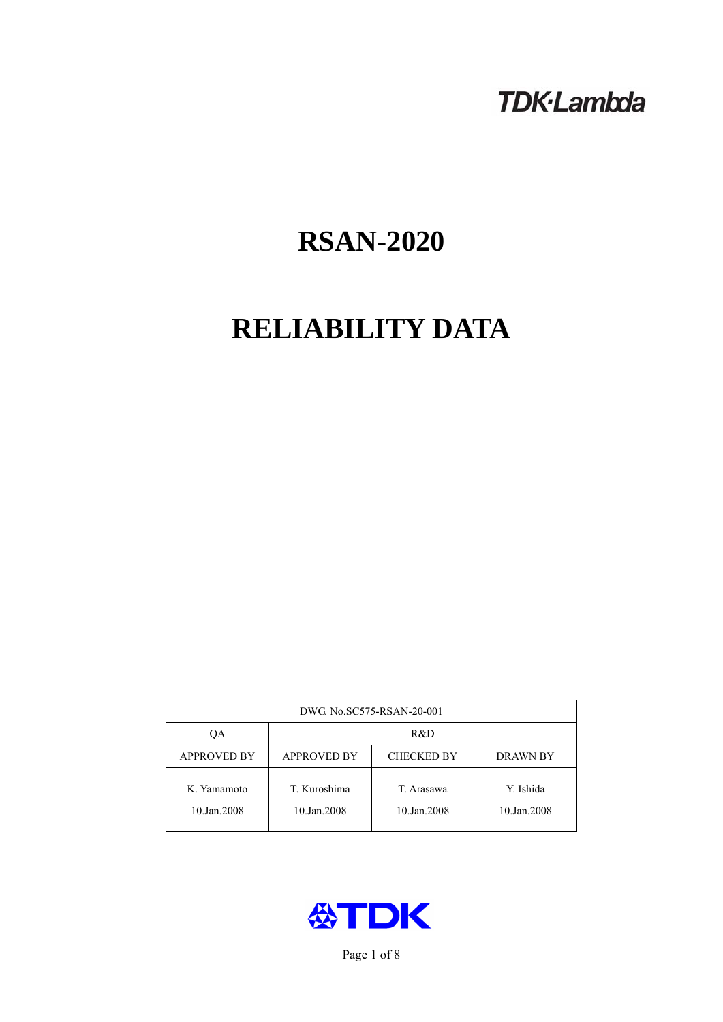# **TDK-Lambda**

# **RSAN-2020**

# **RELIABILITY DATA**

| DWG No.SC575-RSAN-20-001   |                                                            |                           |                          |  |  |
|----------------------------|------------------------------------------------------------|---------------------------|--------------------------|--|--|
| QA                         | R&D                                                        |                           |                          |  |  |
| <b>APPROVED BY</b>         | <b>APPROVED BY</b><br><b>CHECKED BY</b><br><b>DRAWN BY</b> |                           |                          |  |  |
| K. Yamamoto<br>10.Jan.2008 | T. Kuroshima<br>10.Jan.2008                                | T. Arasawa<br>10.Jan.2008 | Y. Ishida<br>10.Jan.2008 |  |  |



Page 1 of 8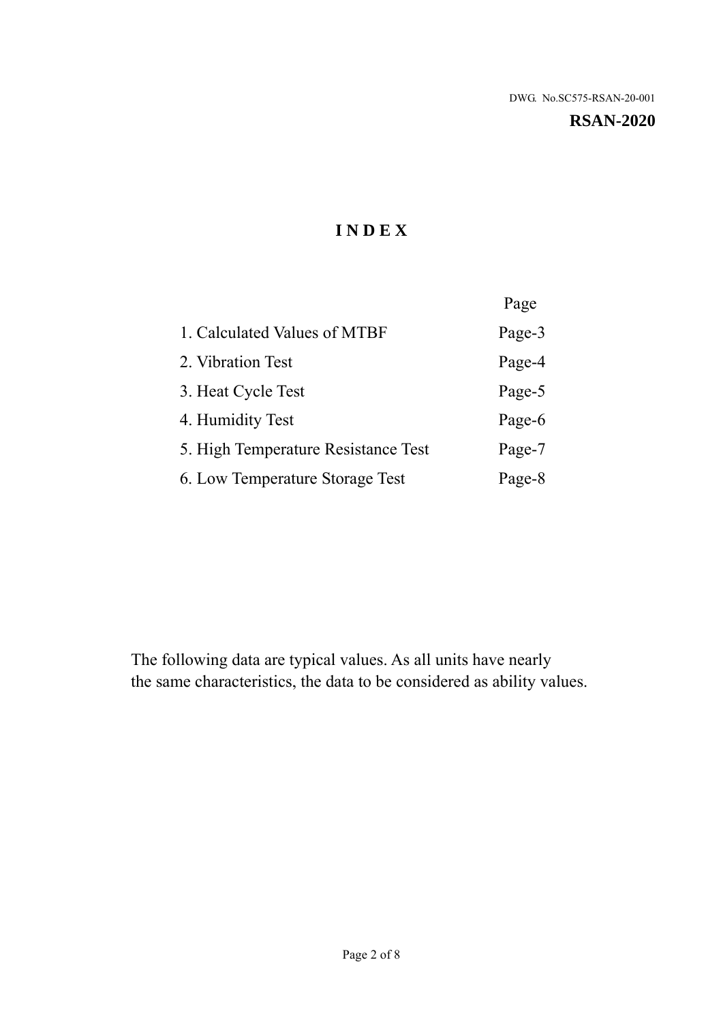**RSAN-2020** 

# **I N D E X**

|                                     | Page   |
|-------------------------------------|--------|
| 1. Calculated Values of MTBF        | Page-3 |
| 2. Vibration Test                   | Page-4 |
| 3. Heat Cycle Test                  | Page-5 |
| 4. Humidity Test                    | Page-6 |
| 5. High Temperature Resistance Test | Page-7 |
| 6. Low Temperature Storage Test     | Page-8 |

The following data are typical values. As all units have nearly the same characteristics, the data to be considered as ability values.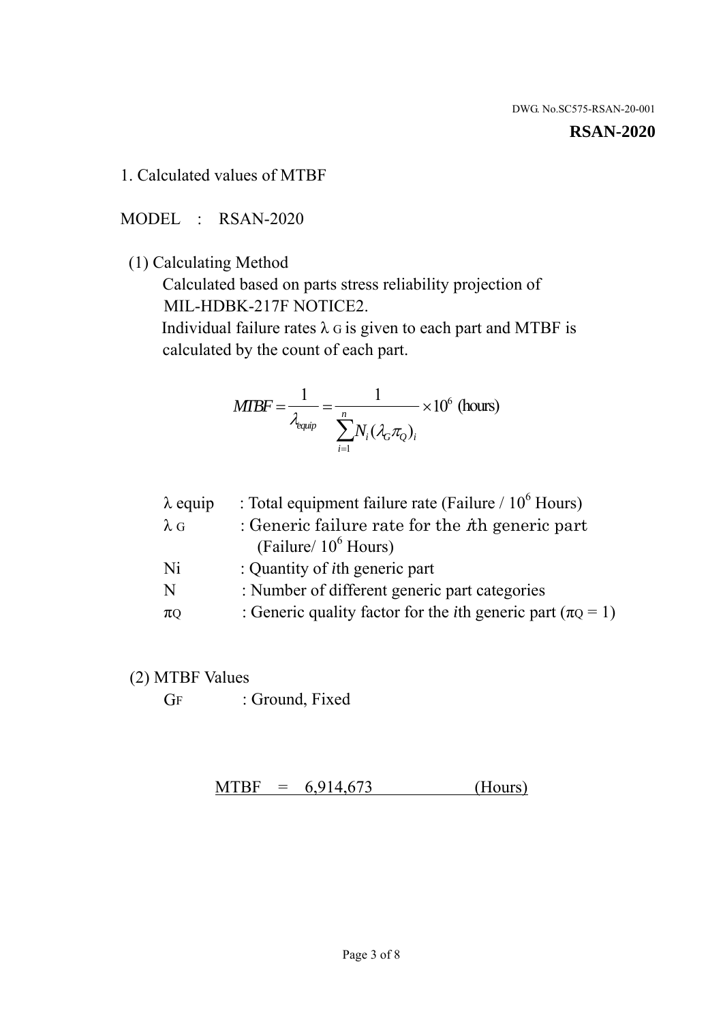#### **RSAN-2020**

1. Calculated values of MTBF

MODEL : RSAN-2020

(1) Calculating Method

 Calculated based on parts stress reliability projection of MIL-HDBK-217F NOTICE2.

Individual failure rates  $\lambda$  G is given to each part and MTBF is calculated by the count of each part.

$$
MTBF = \frac{1}{\lambda_{\text{equip}}} = \frac{1}{\sum_{i=1}^{n} N_i (\lambda_G \pi_Q)_i} \times 10^6 \text{ (hours)}
$$

| $\lambda$ equip | : Total equipment failure rate (Failure $/ 10^6$ Hours)                   |
|-----------------|---------------------------------------------------------------------------|
| $\lambda$ G     | : Generic failure rate for the $\hbar$ generic part                       |
|                 | (Failure/ $10^6$ Hours)                                                   |
| Ni              | : Quantity of <i>i</i> th generic part                                    |
| N               | : Number of different generic part categories                             |
| $\pi$ Q         | : Generic quality factor for the <i>i</i> th generic part ( $\pi Q = 1$ ) |

- (2) MTBF Values
	- GF : Ground, Fixed

 $MTBF = 6,914,673$  (Hours)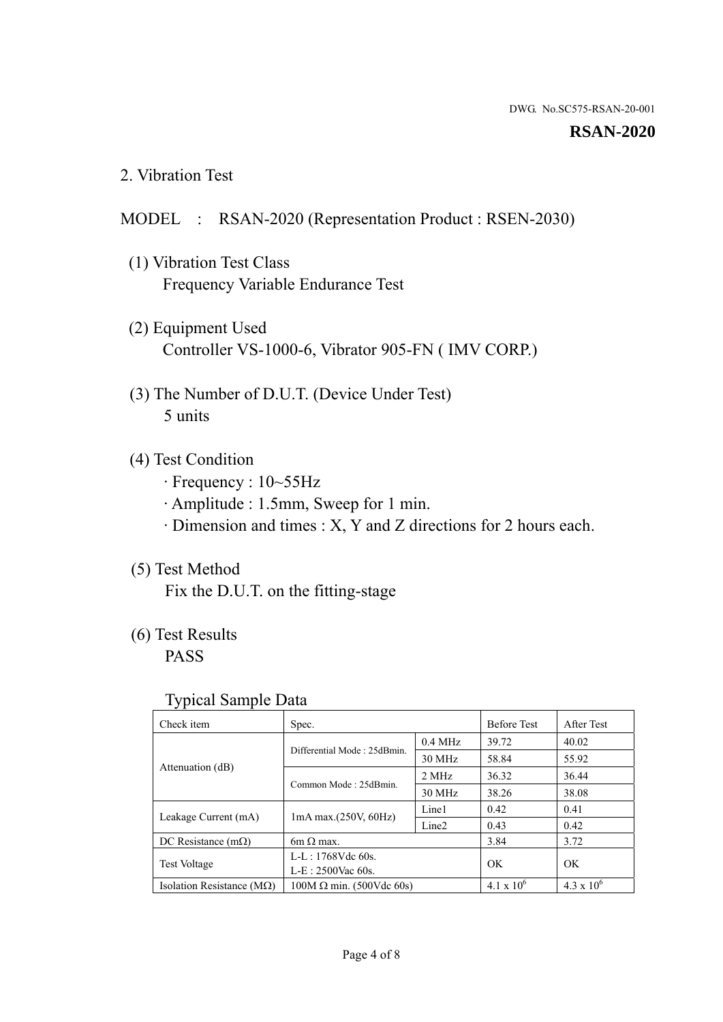#### **RSAN-2020**

2. Vibration Test

## MODEL : RSAN-2020 (Representation Product : RSEN-2030)

- (1) Vibration Test Class Frequency Variable Endurance Test
- (2) Equipment Used Controller VS-1000-6, Vibrator 905-FN ( IMV CORP.)
- (3) The Number of D.U.T. (Device Under Test) 5 units
- (4) Test Condition
	- · Frequency : 10~55Hz
	- · Amplitude : 1.5mm, Sweep for 1 min.
	- · Dimension and times : X, Y and Z directions for 2 hours each.

## (5) Test Method

Fix the D.U.T. on the fitting-stage

# (6) Test Results

PASS

#### Typical Sample Data

| . .                           |                                                         |           |                     |                     |
|-------------------------------|---------------------------------------------------------|-----------|---------------------|---------------------|
| Check item                    | Spec.                                                   |           | <b>Before Test</b>  | After Test          |
|                               | Differential Mode: 25dBmin.                             | $0.4$ MHz | 39.72               | 40.02               |
|                               |                                                         | 30 MHz    | 58.84               | 55.92               |
| Attenuation (dB)              | Common Mode: 25dBmin.                                   | 2 MHz     | 36.32               | 36.44               |
|                               |                                                         | 30 MHz    | 38.26               | 38.08               |
| Leakage Current (mA)          | Line1<br>$1mA$ max. $(250V, 60Hz)$<br>Line <sub>2</sub> |           | 0.42                | 0.41                |
|                               |                                                         |           | 0.43                | 0.42                |
| DC Resistance $(m\Omega)$     | $6m \Omega$ max.                                        |           | 3.84                | 3.72                |
| <b>Test Voltage</b>           | $L-L: 1768Vdc$ 60s.                                     |           | OK                  | OK.                 |
|                               | $L-E$ : 2500Vac 60s.                                    |           |                     |                     |
| Isolation Resistance ( $MQ$ ) | $100M \Omega$ min. (500Vdc 60s)                         |           | $4.1 \times 10^{6}$ | $4.3 \times 10^{6}$ |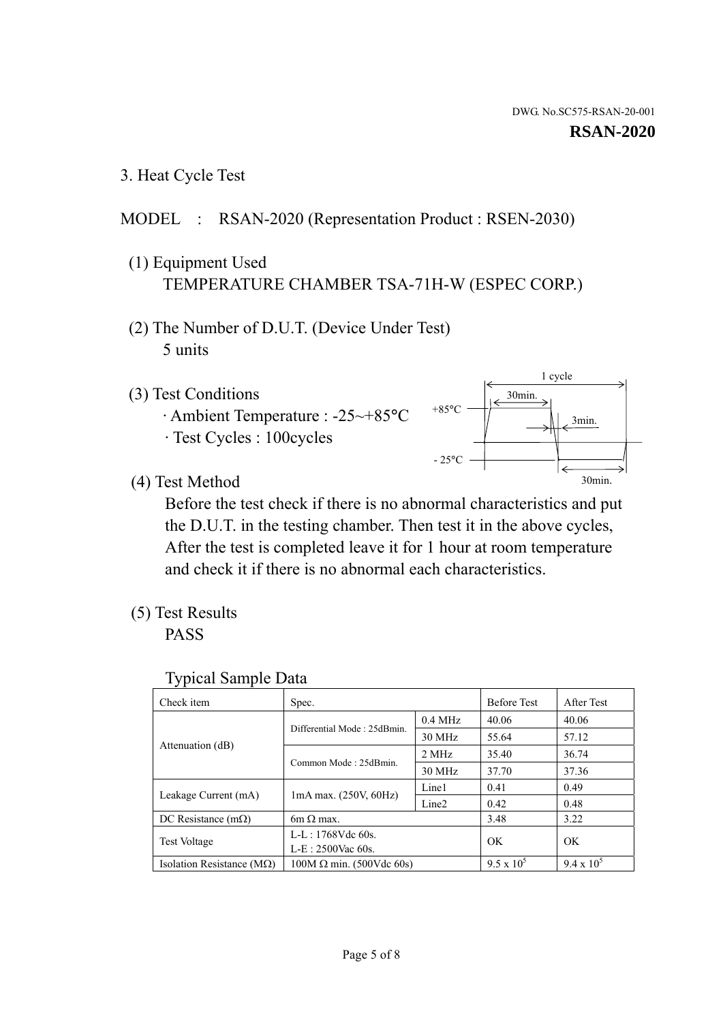1 cycle

30min.

3min.

30min.

3. Heat Cycle Test

### MODEL : RSAN-2020 (Representation Product : RSEN-2030)

- (1) Equipment Used TEMPERATURE CHAMBER TSA-71H-W (ESPEC CORP.)
- (2) The Number of D.U.T. (Device Under Test) 5 units
- (3) Test Conditions
	- · Ambient Temperature : -25~+85°C · Test Cycles : 100cycles
- (4) Test Method

 Before the test check if there is no abnormal characteristics and put the D.U.T. in the testing chamber. Then test it in the above cycles, After the test is completed leave it for 1 hour at room temperature and check it if there is no abnormal each characteristics.

 $+85$ °C

 $-25$ °C

(5) Test Results

PASS

| <b>Typical Sample Data</b> |  |  |
|----------------------------|--|--|
|----------------------------|--|--|

| Check item                         | Spec.                           |                   | <b>Before Test</b> | After Test        |
|------------------------------------|---------------------------------|-------------------|--------------------|-------------------|
|                                    |                                 | $0.4$ MHz         | 40.06              | 40.06             |
|                                    | Differential Mode: 25dBmin.     | 30 MHz            | 55.64              | 57.12             |
| Attenuation (dB)                   | Common Mode: 25dBmin.           | 2 MHz             | 35.40              | 36.74             |
|                                    |                                 | 30 MHz            | 37.70              | 37.36             |
| Leakage Current (mA)               | $1mA$ max. $(250V, 60Hz)$       | Line1             | 0.41               | 0.49              |
|                                    |                                 | Line <sub>2</sub> | 0.42               | 0.48              |
| DC Resistance $(m\Omega)$          | $6m \Omega$ max.                |                   | 3.48               | 3.22              |
| <b>Test Voltage</b>                | $L-L: 1768Vdc$ 60s.             |                   |                    |                   |
|                                    | $L-E: 2500$ Vac 60s.            |                   | OK                 | OK                |
| Isolation Resistance ( $M\Omega$ ) | $100M \Omega$ min. (500Vdc 60s) |                   | $9.5 \times 10^5$  | $9.4 \times 10^5$ |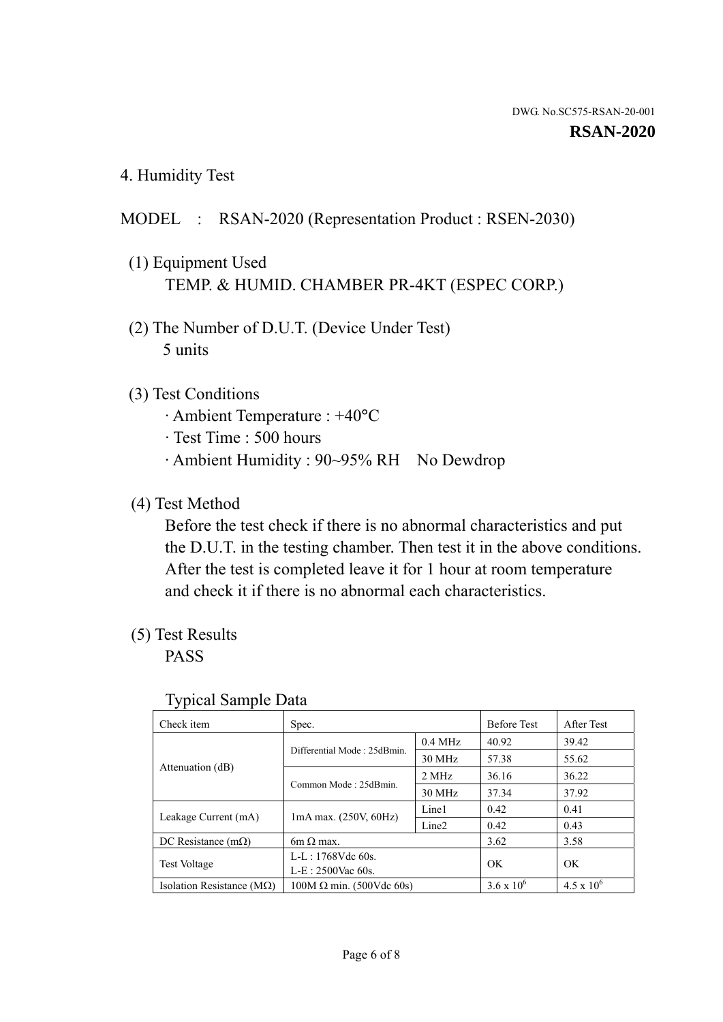4. Humidity Test

## MODEL : RSAN-2020 (Representation Product : RSEN-2030)

- (1) Equipment Used TEMP. & HUMID. CHAMBER PR-4KT (ESPEC CORP.)
- (2) The Number of D.U.T. (Device Under Test) 5 units

### (3) Test Conditions

- · Ambient Temperature : +40°C
- · Test Time : 500 hours
- · Ambient Humidity : 90~95% RH No Dewdrop

## (4) Test Method

 Before the test check if there is no abnormal characteristics and put the D.U.T. in the testing chamber. Then test it in the above conditions. After the test is completed leave it for 1 hour at room temperature and check it if there is no abnormal each characteristics.

### (5) Test Results

PASS

| ┙┸                                 |                                 |                   |                     |                     |
|------------------------------------|---------------------------------|-------------------|---------------------|---------------------|
| Check item                         | Spec.                           |                   | <b>Before Test</b>  | After Test          |
| Attenuation (dB)                   | Differential Mode: 25dBmin.     | $0.4$ MHz         | 40.92               | 39.42               |
|                                    |                                 | 30 MHz            | 57.38               | 55.62               |
|                                    | Common Mode: 25dBmin.           | 2 MHz             | 36.16               | 36.22               |
|                                    |                                 | 30 MHz            | 37.34               | 37.92               |
| Leakage Current (mA)               | $1mA$ max. $(250V, 60Hz)$       | Line1             | 0.42                | 0.41                |
|                                    |                                 | Line <sub>2</sub> | 0.42                | 0.43                |
| DC Resistance $(m\Omega)$          | $6m \Omega$ max.                |                   | 3.62                | 3.58                |
| <b>Test Voltage</b>                | $L-L: 1768Vdc$ 60s.             |                   | OK                  | OK                  |
|                                    | $L-E: 2500$ Vac 60s.            |                   |                     |                     |
| Isolation Resistance ( $M\Omega$ ) | $100M \Omega$ min. (500Vdc 60s) |                   | $3.6 \times 10^{6}$ | $4.5 \times 10^{6}$ |

#### Typical Sample Data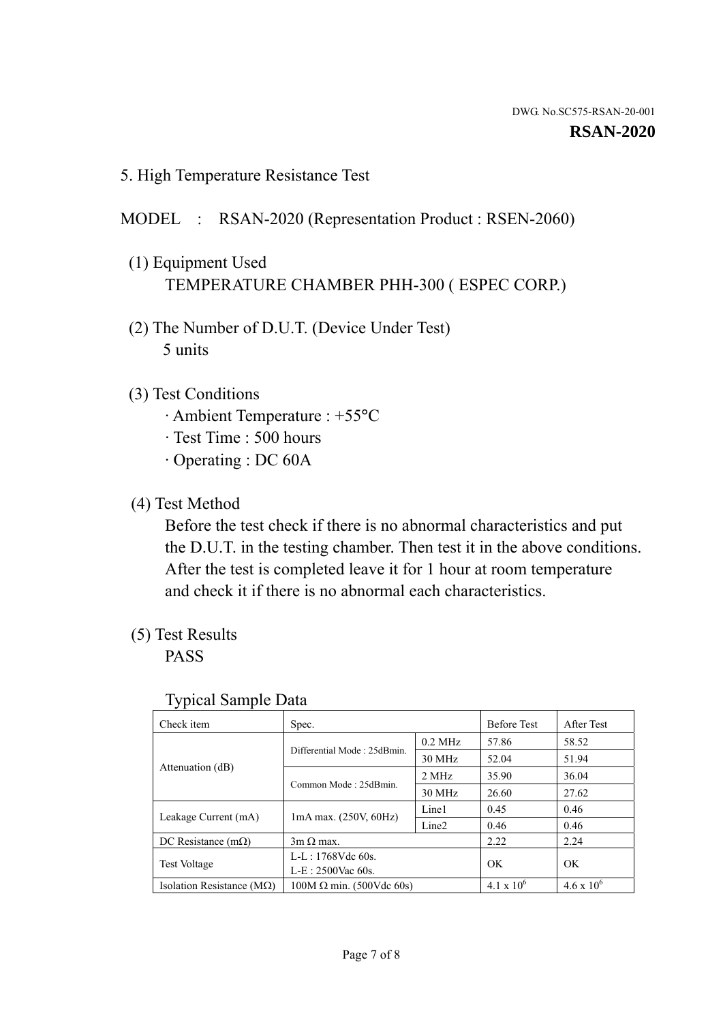5. High Temperature Resistance Test

#### MODEL : RSAN-2020 (Representation Product : RSEN-2060)

- (1) Equipment Used TEMPERATURE CHAMBER PHH-300 ( ESPEC CORP.)
- (2) The Number of D.U.T. (Device Under Test) 5 units
- (3) Test Conditions
	- · Ambient Temperature : +55°C
	- · Test Time : 500 hours
	- · Operating : DC 60A
- (4) Test Method

 Before the test check if there is no abnormal characteristics and put the D.U.T. in the testing chamber. Then test it in the above conditions. After the test is completed leave it for 1 hour at room temperature and check it if there is no abnormal each characteristics.

(5) Test Results

PASS

| ╯┸                                 |                                 |                   |                     |                     |
|------------------------------------|---------------------------------|-------------------|---------------------|---------------------|
| Check item                         | Spec.                           |                   | <b>Before Test</b>  | After Test          |
|                                    | Differential Mode: 25dBmin.     | $0.2$ MHz         | 57.86               | 58.52               |
|                                    |                                 | 30 MHz            | 52.04               | 51.94               |
| Attenuation (dB)                   | Common Mode: 25dBmin.           | 2 MHz             | 35.90               | 36.04               |
|                                    |                                 | 30 MHz            | 26.60               | 27.62               |
| Leakage Current (mA)               | $1mA$ max. $(250V, 60Hz)$       | Line1             | 0.45                | 0.46                |
|                                    |                                 | Line <sub>2</sub> | 0.46                | 0.46                |
| DC Resistance $(m\Omega)$          | $3m \Omega$ max.                |                   | 2.22                | 2.24                |
| <b>Test Voltage</b>                | $L-L: 1768Vdc$ 60s.             |                   | OK                  | OK                  |
|                                    | $L-E: 2500$ Vac 60s.            |                   |                     |                     |
| Isolation Resistance ( $M\Omega$ ) | $100M \Omega$ min. (500Vdc 60s) |                   | $4.1 \times 10^{6}$ | $4.6 \times 10^{6}$ |

#### Typical Sample Data